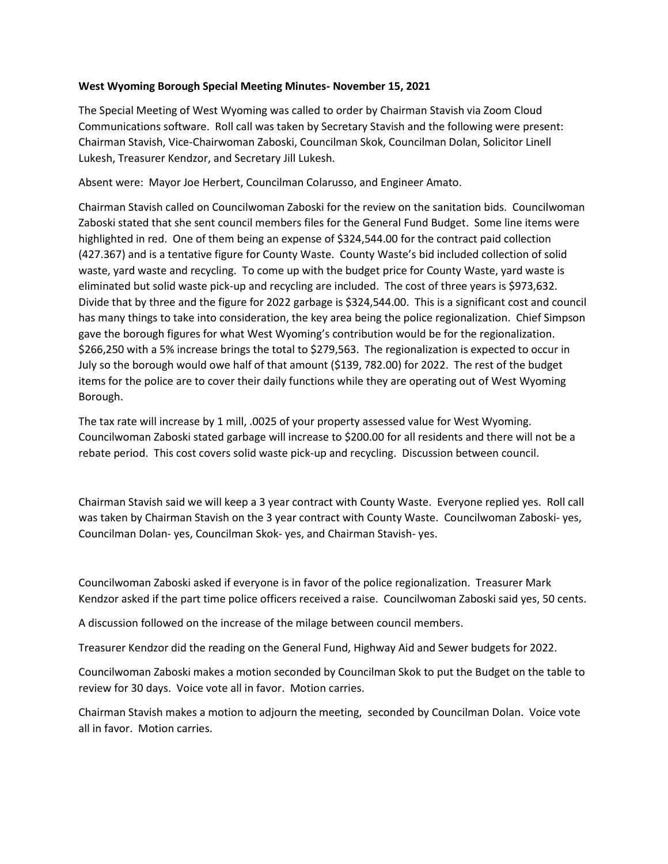## **West Wyoming Borough Special Meeting Minutes- November 15, 2021**

The Special Meeting of West Wyoming was called to order by Chairman Stavish via Zoom Cloud Communications software. Roll call was taken by Secretary Stavish and the following were present: Chairman Stavish, Vice-Chairwoman Zaboski, Councilman Skok, Councilman Dolan, Solicitor Linell Lukesh, Treasurer Kendzor, and Secretary Jill Lukesh.

Absent were: Mayor Joe Herbert, Councilman Colarusso, and Engineer Amato.

Chairman Stavish called on Councilwoman Zaboski for the review on the sanitation bids. Councilwoman Zaboski stated that she sent council members files for the General Fund Budget. Some line items were highlighted in red. One of them being an expense of \$324,544.00 for the contract paid collection (427.367) and is a tentative figure for County Waste. County Waste's bid included collection of solid waste, yard waste and recycling. To come up with the budget price for County Waste, yard waste is eliminated but solid waste pick-up and recycling are included. The cost of three years is \$973,632. Divide that by three and the figure for 2022 garbage is \$324,544.00. This is a significant cost and council has many things to take into consideration, the key area being the police regionalization. Chief Simpson gave the borough figures for what West Wyoming's contribution would be for the regionalization. \$266,250 with a 5% increase brings the total to \$279,563. The regionalization is expected to occur in July so the borough would owe half of that amount (\$139, 782.00) for 2022. The rest of the budget items for the police are to cover their daily functions while they are operating out of West Wyoming Borough.

The tax rate will increase by 1 mill, .0025 of your property assessed value for West Wyoming. Councilwoman Zaboski stated garbage will increase to \$200.00 for all residents and there will not be a rebate period. This cost covers solid waste pick-up and recycling. Discussion between council.

Chairman Stavish said we will keep a 3 year contract with County Waste. Everyone replied yes. Roll call was taken by Chairman Stavish on the 3 year contract with County Waste. Councilwoman Zaboski- yes, Councilman Dolan- yes, Councilman Skok- yes, and Chairman Stavish- yes.

Councilwoman Zaboski asked if everyone is in favor of the police regionalization. Treasurer Mark Kendzor asked if the part time police officers received a raise. Councilwoman Zaboski said yes, 50 cents.

A discussion followed on the increase of the milage between council members.

Treasurer Kendzor did the reading on the General Fund, Highway Aid and Sewer budgets for 2022.

Councilwoman Zaboski makes a motion seconded by Councilman Skok to put the Budget on the table to review for 30 days. Voice vote all in favor. Motion carries.

Chairman Stavish makes a motion to adjourn the meeting, seconded by Councilman Dolan. Voice vote all in favor. Motion carries.